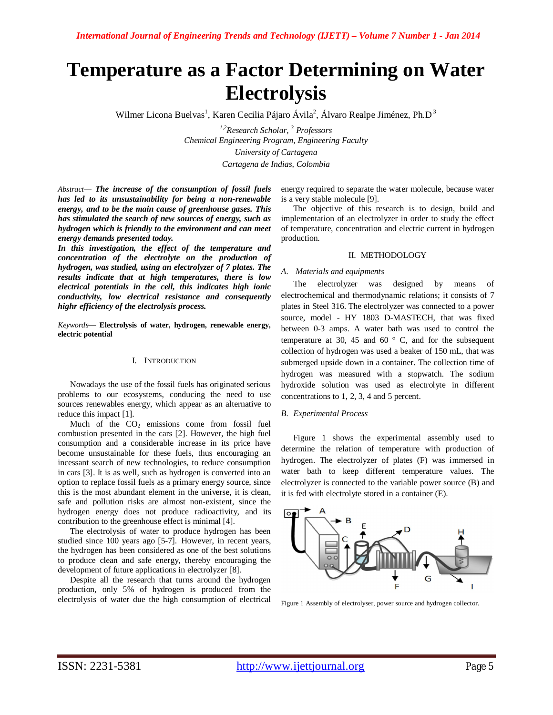# **Temperature as a Factor Determining on Water Electrolysis**

Wilmer Licona Buelvas<sup>1</sup>, Karen Cecilia Pájaro Ávila<sup>2</sup>, Álvaro Realpe Jiménez, Ph.D<sup>3</sup>

*1,2Research Scholar, <sup>3</sup> Professors Chemical Engineering Program, Engineering Faculty University of Cartagena Cartagena de Indias, Colombia*

*Abstract***—** *The increase of the consumption of fossil fuels has led to its unsustainability for being a non-renewable energy, and to be the main cause of greenhouse gases. This has stimulated the search of new sources of energy, such as hydrogen which is friendly to the environment and can meet energy demands presented today.* 

*In this investigation, the effect of the temperature and concentration of the electrolyte on the production of hydrogen, was studied, using an electrolyzer of 7 plates. The results indicate that at high temperatures, there is low electrical potentials in the cell, this indicates high ionic conductivity, low electrical resistance and consequently highr efficiency of the electrolysis process.*

*Keywords***— Electrolysis of water, hydrogen, renewable energy, electric potential**

# I. INTRODUCTION

Nowadays the use of the fossil fuels has originated serious problems to our ecosystems, conducing the need to use sources renewables energy, which appear as an alternative to reduce this impact [1].

Much of the  $CO<sub>2</sub>$  emissions come from fossil fuel combustion presented in the cars [2]. However, the high fuel consumption and a considerable increase in its price have become unsustainable for these fuels, thus encouraging an incessant search of new technologies, to reduce consumption in cars [3]. It is as well, such as hydrogen is converted into an option to replace fossil fuels as a primary energy source, since this is the most abundant element in the universe, it is clean, safe and pollution risks are almost non-existent, since the hydrogen energy does not produce radioactivity, and its contribution to the greenhouse effect is minimal [4].

The electrolysis of water to produce hydrogen has been studied since 100 years ago [5-7]. However, in recent years, the hydrogen has been considered as one of the best solutions to produce clean and safe energy, thereby encouraging the development of future applications in electrolyzer [8].

Despite all the research that turns around the hydrogen production, only 5% of hydrogen is produced from the electrolysis of water due the high consumption of electrical energy required to separate the water molecule, because water is a very stable molecule [9].

The objective of this research is to design, build and implementation of an electrolyzer in order to study the effect of temperature, concentration and electric current in hydrogen production.

## II. METHODOLOGY

## *A. Materials and equipments*

The electrolyzer was designed by means of electrochemical and thermodynamic relations; it consists of 7 plates in Steel 316. The electrolyzer was connected to a power source, model - HY 1803 D-MASTECH, that was fixed between 0-3 amps. A water bath was used to control the temperature at 30, 45 and 60 $\degree$  C, and for the subsequent collection of hydrogen was used a beaker of 150 mL, that was submerged upside down in a container. The collection time of hydrogen was measured with a stopwatch. The sodium hydroxide solution was used as electrolyte in different concentrations to 1, 2, 3, 4 and 5 percent.

## *B. Experimental Process*

Figure 1 shows the experimental assembly used to determine the relation of temperature with production of hydrogen. The electrolyzer of plates (F) was immersed in water bath to keep different temperature values. The electrolyzer is connected to the variable power source (B) and it is fed with electrolyte stored in a container (E).



Figure 1 Assembly of electrolyser, power source and hydrogen collector.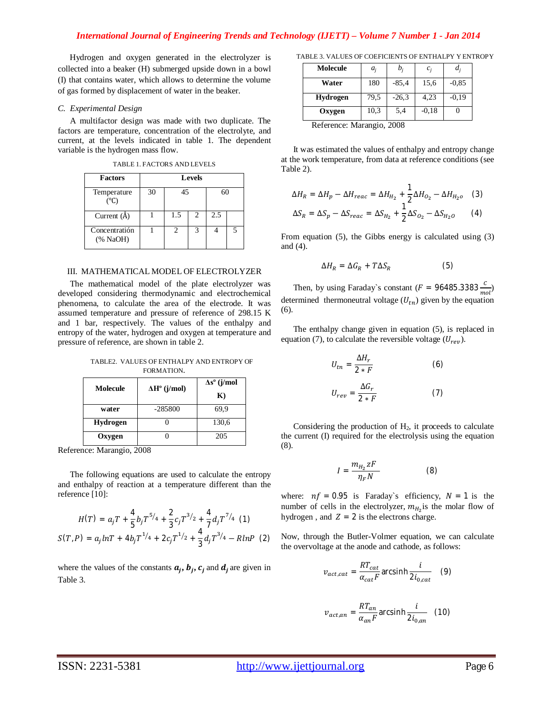Hydrogen and oxygen generated in the electrolyzer is collected into a beaker (H) submerged upside down in a bowl (I) that contains water, which allows to determine the volume of gas formed by displacement of water in the beaker.

## *C. Experimental Design*

A multifactor design was made with two duplicate. The factors are temperature, concentration of the electrolyte, and current, at the levels indicated in table 1. The dependent variable is the hydrogen mass flow.

TABLE 1. FACTORS AND LEVELS

| <b>Factors</b>                 | <b>Levels</b> |     |                |     |  |  |
|--------------------------------|---------------|-----|----------------|-----|--|--|
| Temperature<br>(°C)            | 30            | 45  |                | 60  |  |  |
| Current $(A)$                  |               | 1.5 | $\mathfrak{D}$ | 2.5 |  |  |
| Concentratión<br>$(%$ NaOH $)$ |               |     |                |     |  |  |

#### III. MATHEMATICAL MODEL OF ELECTROLYZER

The mathematical model of the plate electrolyzer was developed considering thermodynamic and electrochemical phenomena, to calculate the area of the electrode. It was assumed temperature and pressure of reference of 298.15 K and 1 bar, respectively. The values of the enthalpy and entropy of the water, hydrogen and oxygen at temperature and pressure of reference, are shown in table 2.

| TABLE2. VALUES OF ENTHALPY AND ENTROPY OF |
|-------------------------------------------|
| FORMATION.                                |

| Molecule        | $\Delta H^{\circ}$ (j/mol) | $\Delta s^{\circ}$ (j/mol |  |
|-----------------|----------------------------|---------------------------|--|
|                 |                            | $\mathbf{K}$              |  |
| water           | $-285800$                  | 69,9                      |  |
| <b>Hydrogen</b> |                            | 130,6                     |  |
| Oxygen          |                            | 205                       |  |

Reference: Marangio, 2008

The following equations are used to calculate the entropy and enthalpy of reaction at a temperature different than the reference [10]:

$$
H(T) = a_j T + \frac{4}{5} b_j T^{5/4} + \frac{2}{3} c_j T^{3/2} + \frac{4}{7} d_j T^{7/4}
$$
 (1)  

$$
S(T, P) = a_j lnT + 4b_j T^{1/4} + 2c_j T^{1/2} + \frac{4}{3} d_j T^{3/4} - R lnP
$$
 (2)

where the values of the constants  $a_j$ ,  $b_j$ ,  $c_j$  and  $d_j$  are given in Table 3.

TABLE 3. VALUES OF COEFICIENTS OF ENTHALPY Y ENTROPY

| Molecule                                 | $a_i$ | $b_i$   | $c_i$   | $d_i$   |
|------------------------------------------|-------|---------|---------|---------|
| Water                                    | 180   | $-85,4$ | 15,6    | $-0.85$ |
| Hydrogen                                 | 79,5  | $-26,3$ | 4,23    | $-0.19$ |
| Oxygen                                   | 10,3  | 5,4     | $-0.18$ |         |
| $D_{\alpha}$ fanan aar Manan ai a<br>റററ |       |         |         |         |

Reference: Marangio, 2008

It was estimated the values of enthalpy and entropy change at the work temperature, from data at reference conditions (see Table 2).

$$
\Delta H_R = \Delta H_p - \Delta H_{reac} = \Delta H_{H_2} + \frac{1}{2} \Delta H_{O_2} - \Delta H_{H_2o} \quad (3)
$$
  

$$
\Delta S_R = \Delta S_p - \Delta S_{reac} = \Delta S_{H_2} + \frac{1}{2} \Delta S_{O_2} - \Delta S_{H_2o} \quad (4)
$$

From equation (5), the Gibbs energy is calculated using (3) and (4).

$$
\Delta H_R = \Delta G_R + T \Delta S_R \tag{5}
$$

Then, by using Faraday's constant ( $F = 96485.3383 \frac{c}{mol}$ ) determined thermoneutral voltage  $(U_{tn})$  given by the equation (6).

The enthalpy change given in equation (5), is replaced in equation (7), to calculate the reversible voltage  $(U_{rev})$ .

$$
U_{tn} = \frac{\Delta H_r}{2 * F}
$$
 (6)  

$$
U_{rev} = \frac{\Delta G_r}{2 * F}
$$
 (7)

Considering the production of  $H<sub>2</sub>$ , it proceeds to calculate the current (I) required for the electrolysis using the equation (8).

$$
I = \frac{m_{H_2} zF}{\eta_F N} \tag{8}
$$

where:  $nf = 0.95$  is Faraday's efficiency,  $N = 1$  is the number of cells in the electrolyzer,  $m_{H_2}$  is the molar flow of hydrogen, and  $Z = 2$  is the electrons charge.

Now, through the Butler-Volmer equation, we can calculate the overvoltage at the anode and cathode, as follows:

$$
v_{act,cat} = \frac{RT_{cat}}{\alpha_{cat}F} \arcsinh \frac{i}{2i_{0,cat}} \quad (9)
$$

$$
v_{act,an} = \frac{RT_{an}}{\alpha_{an}F}
$$
arcsinh $\frac{i}{2i_{0,an}}$  (10)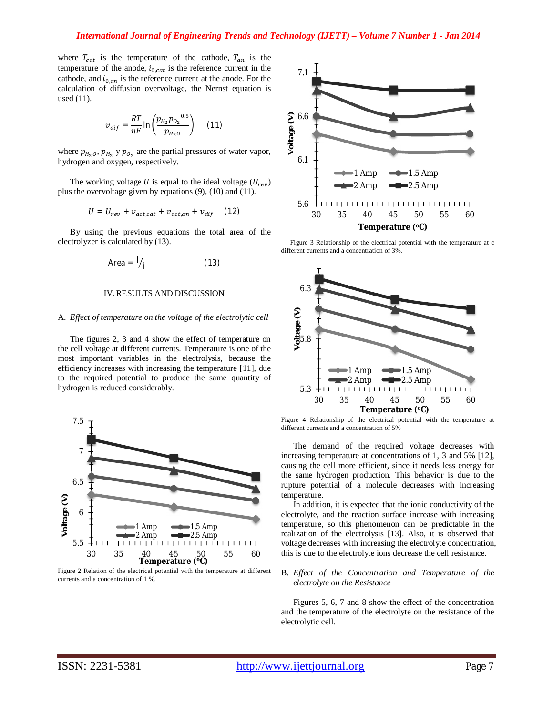where  $T_{cat}$  is the temperature of the cathode,  $T_{an}$  is the temperature of the anode,  $i_{0,cat}$  is the reference current in the cathode, and  $i_{0,an}$  is the reference current at the anode. For the calculation of diffusion overvoltage, the Nernst equation is used (11).

$$
v_{dif} = \frac{RT}{nF} \ln \left( \frac{p_{H_2} p_{O_2}^{0.5}}{p_{H_2 O}} \right) \quad (11)
$$

where  $p_{H_2O}, p_{H_2}$  y  $p_{O_2}$  are the partial pressures of water vapor, hydrogen and oxygen, respectively.

The working voltage U is equal to the ideal voltage  $(U_{rev})$ plus the overvoltage given by equations (9), (10) and (11).

$$
U = U_{rev} + v_{act,cat} + v_{act,an} + v_{dif} \quad (12)
$$

By using the previous equations the total area of the electrolyzer is calculated by (13).

$$
Area = \frac{1}{i} \tag{13}
$$

## IV.RESULTS AND DISCUSSION

# A. *Effect of temperature on the voltage of the electrolytic cell*

The figures 2, 3 and 4 show the effect of temperature on the cell voltage at different currents. Temperature is one of the most important variables in the electrolysis, because the efficiency increases with increasing the temperature [11], due to the required potential to produce the same quantity of hydrogen is reduced considerably.



Figure 2 Relation of the electrical potential with the temperature at different currents and a concentration of 1 %.



Figure 3 Relationship of the electrical potential with the temperature at c different currents and a concentration of 3%.



Figure 4 Relationship of the electrical potential with the temperature at different currents and a concentration of 5%

The demand of the required voltage decreases with increasing temperature at concentrations of 1, 3 and 5% [12], causing the cell more efficient, since it needs less energy for the same hydrogen production. This behavior is due to the rupture potential of a molecule decreases with increasing temperature.

In addition, it is expected that the ionic conductivity of the electrolyte, and the reaction surface increase with increasing temperature, so this phenomenon can be predictable in the realization of the electrolysis [13]. Also, it is observed that voltage decreases with increasing the electrolyte concentration, this is due to the electrolyte ions decrease the cell resistance.

## B. *Effect of the Concentration and Temperature of the electrolyte on the Resistance*

Figures 5, 6, 7 and 8 show the effect of the concentration and the temperature of the electrolyte on the resistance of the electrolytic cell.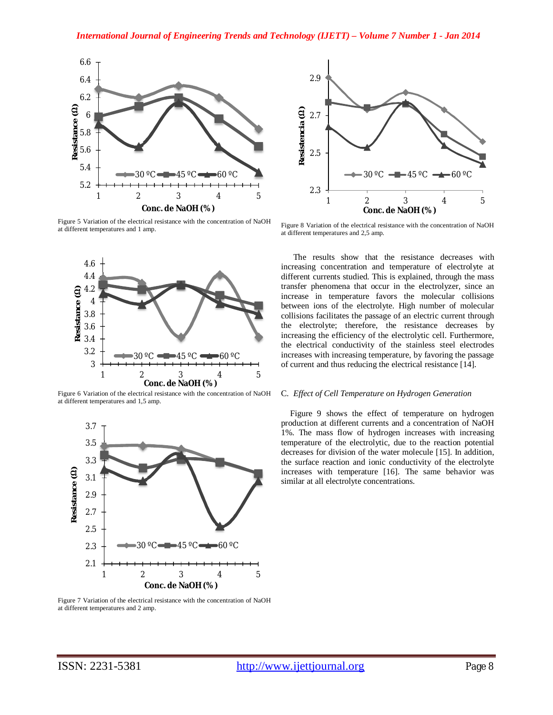

Figure 5 Variation of the electrical resistance with the concentration of NaOH at different temperatures and 1 amp.



Figure 6 Variation of the electrical resistance with the concentration of NaOH at different temperatures and 1,5 amp.



Figure 7 Variation of the electrical resistance with the concentration of NaOH at different temperatures and 2 amp.



Figure 8 Variation of the electrical resistance with the concentration of NaOH at different temperatures and 2,5 amp.

The results show that the resistance decreases with increasing concentration and temperature of electrolyte at different currents studied. This is explained, through the mass transfer phenomena that occur in the electrolyzer, since an increase in temperature favors the molecular collisions between ions of the electrolyte. High number of molecular collisions facilitates the passage of an electric current through the electrolyte; therefore, the resistance decreases by increasing the efficiency of the electrolytic cell. Furthermore, the electrical conductivity of the stainless steel electrodes increases with increasing temperature, by favoring the passage of current and thus reducing the electrical resistance [14].

## C. *Effect of Cell Temperature on Hydrogen Generation*

Figure 9 shows the effect of temperature on hydrogen production at different currents and a concentration of NaOH 1%. The mass flow of hydrogen increases with increasing temperature of the electrolytic, due to the reaction potential decreases for division of the water molecule [15]. In addition, the surface reaction and ionic conductivity of the electrolyte increases with temperature [16]. The same behavior was similar at all electrolyte concentrations.